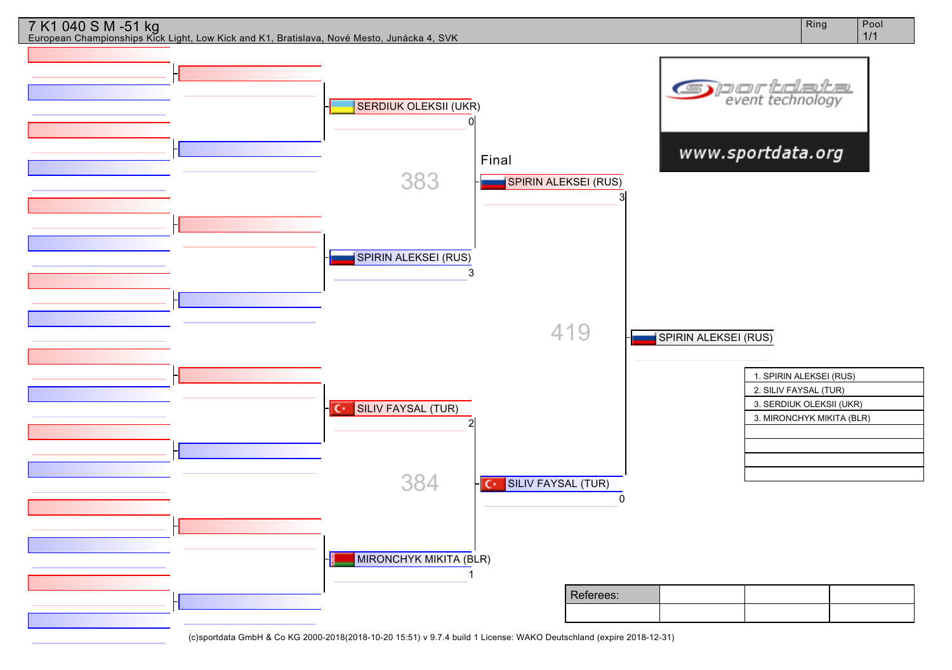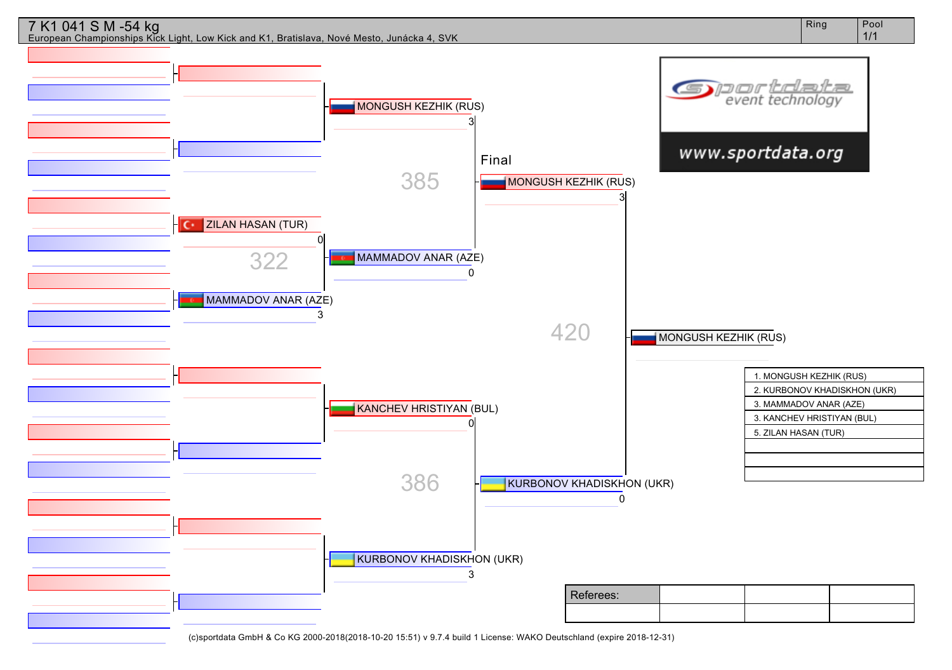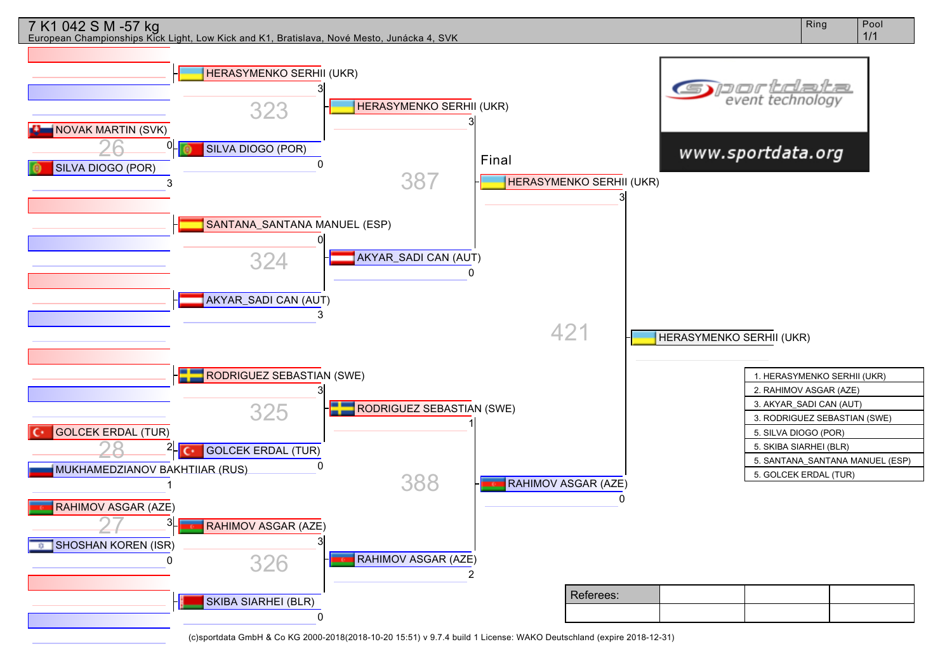## 7 K1 042 S M -57 kg

European Championships Kick Light, Low Kick and K1, Bratislava, Nové Mesto, Junácka 4, SVK

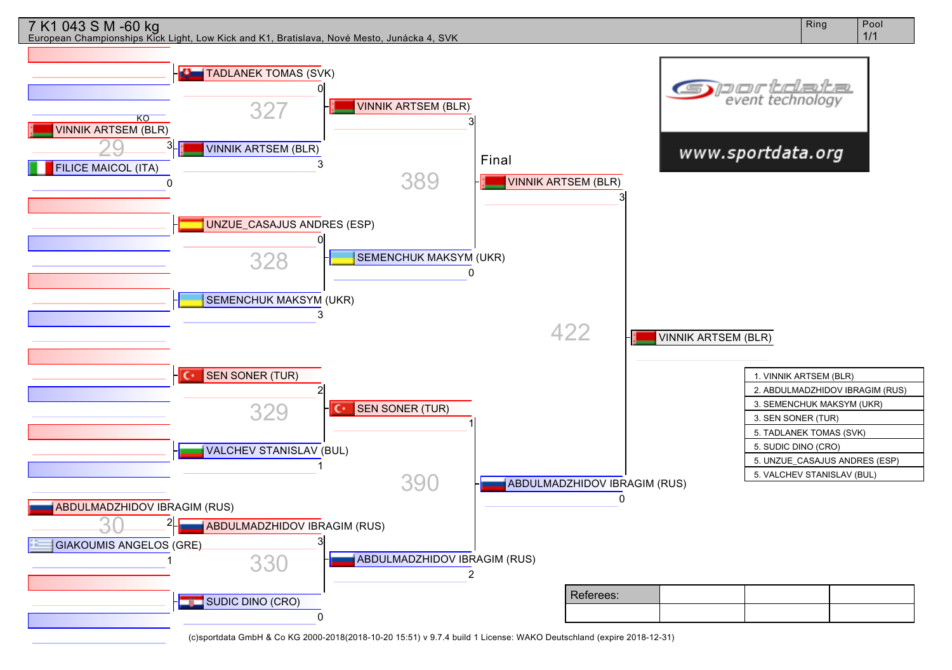

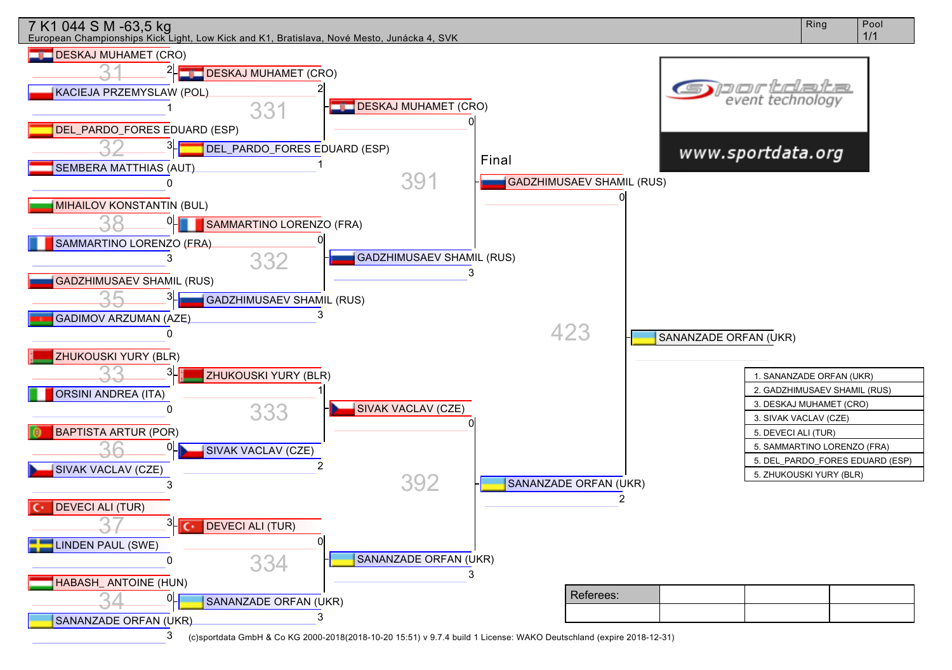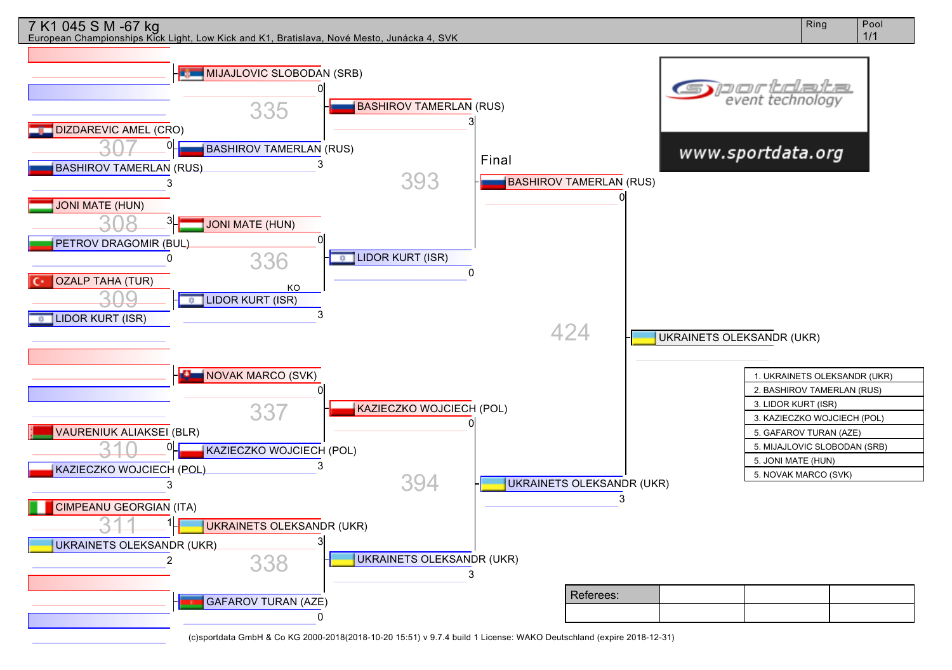

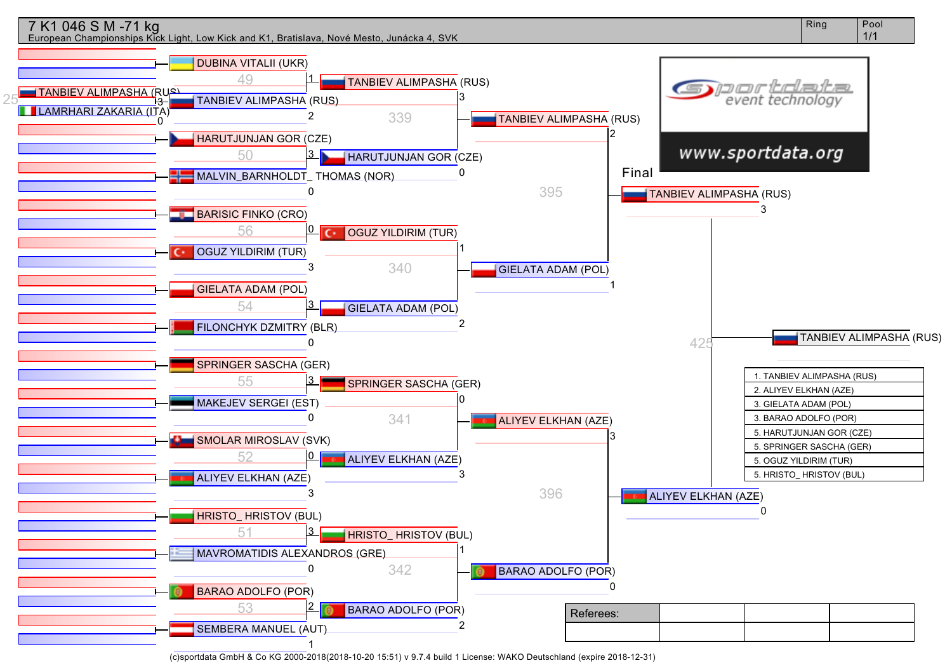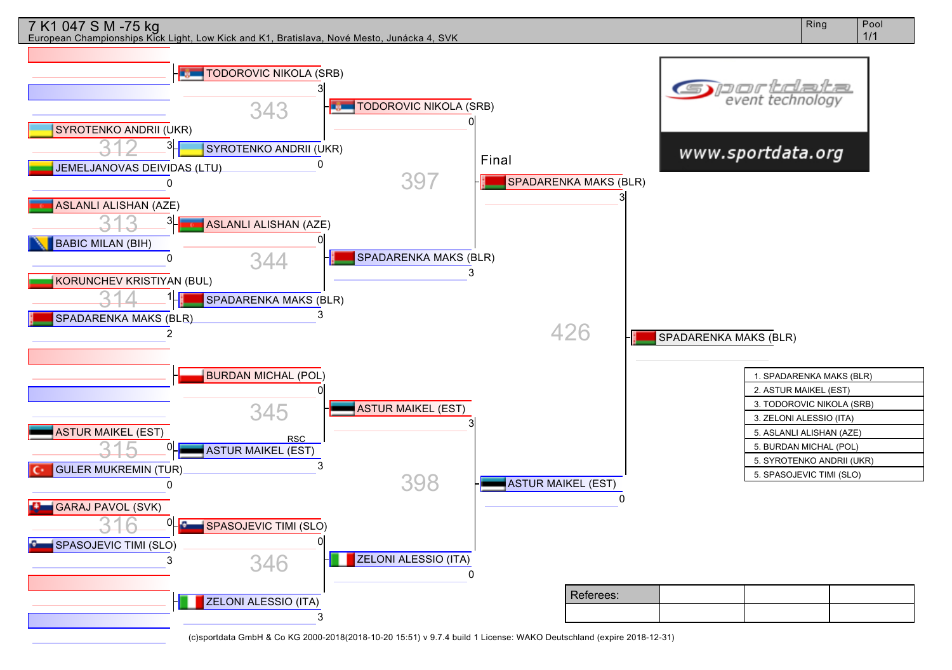

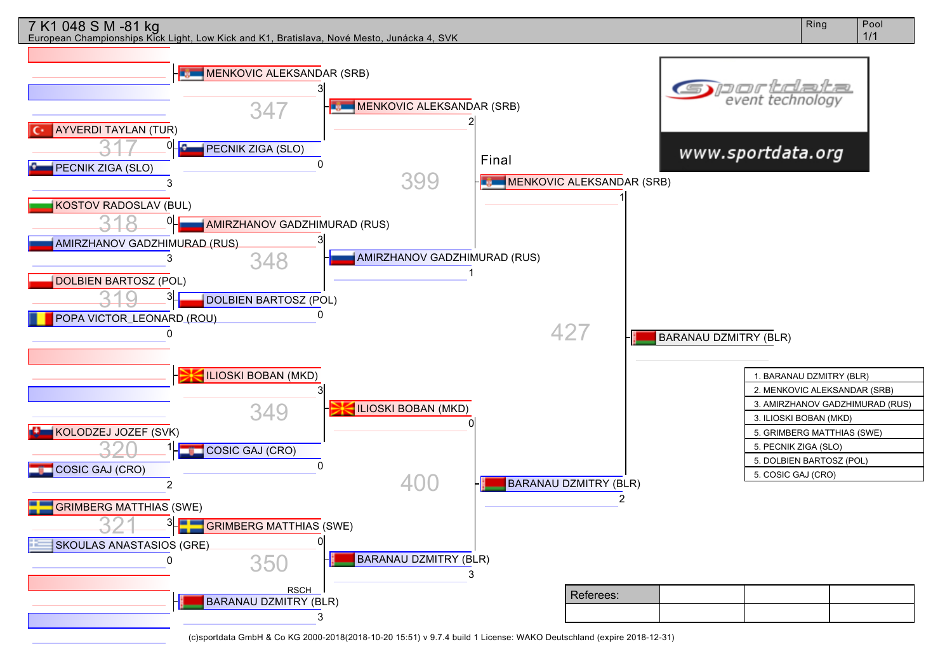## 7 K1 048 S M -81 kg

European Championships Kick Light, Low Kick and K1, Bratislava, Nové Mesto, Junácka 4, SVK

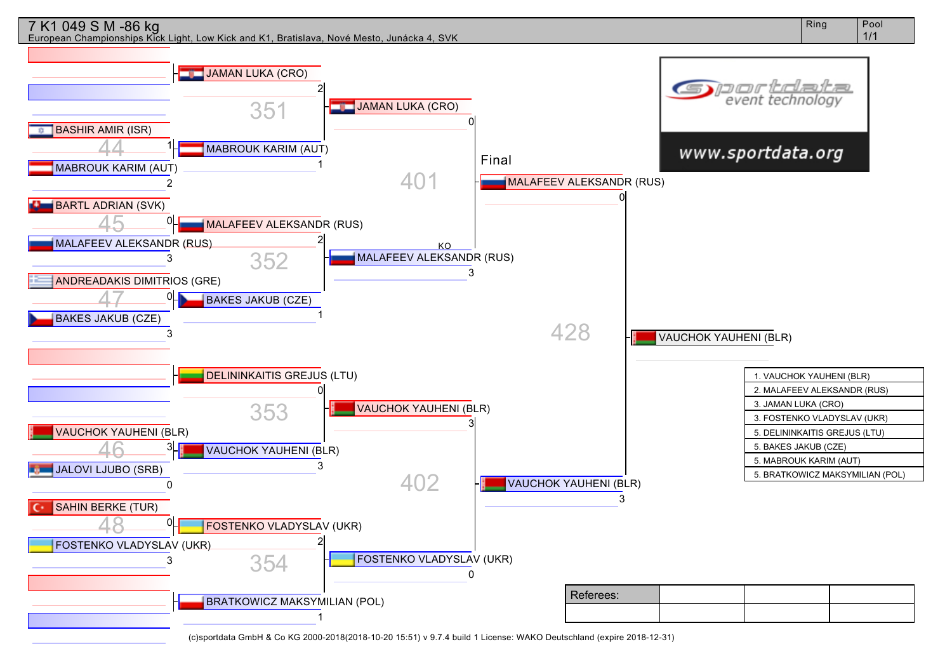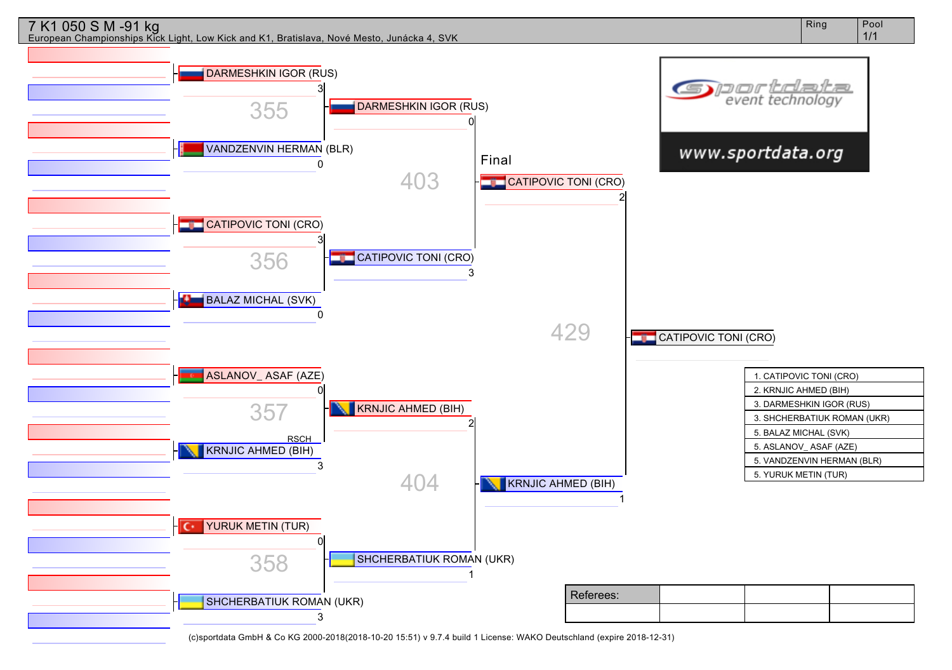

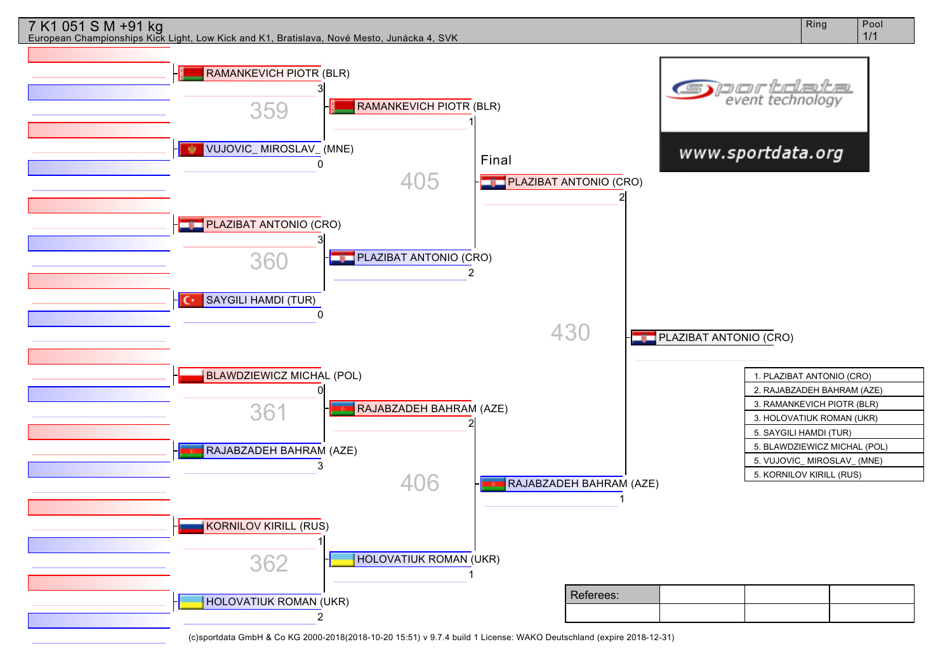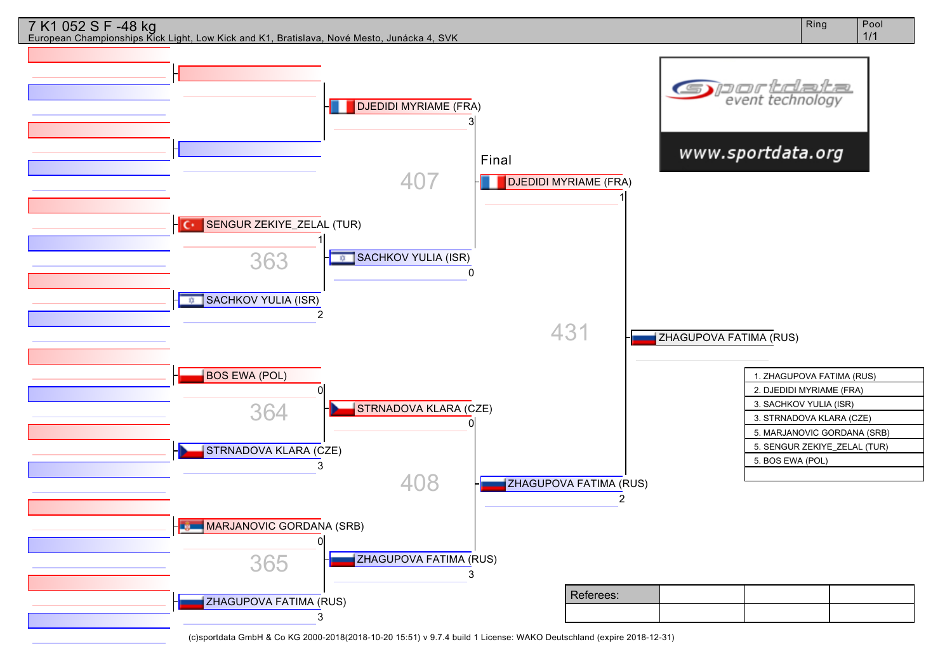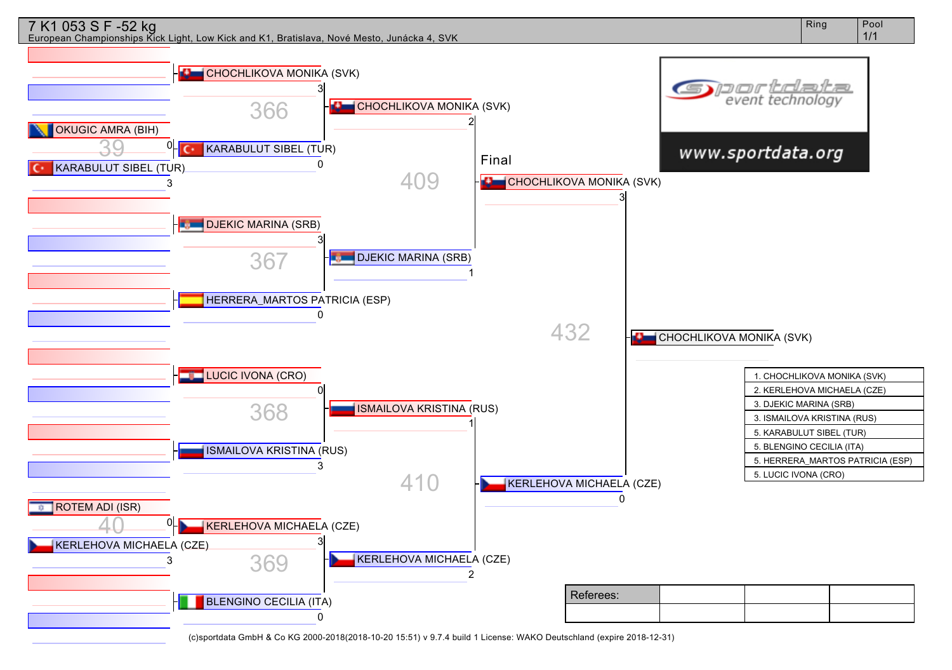

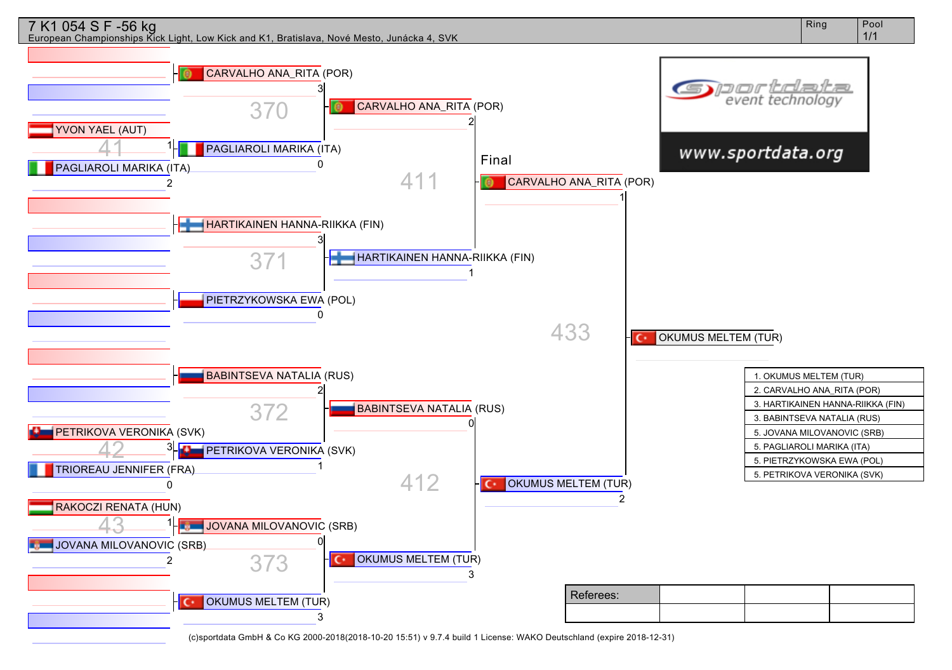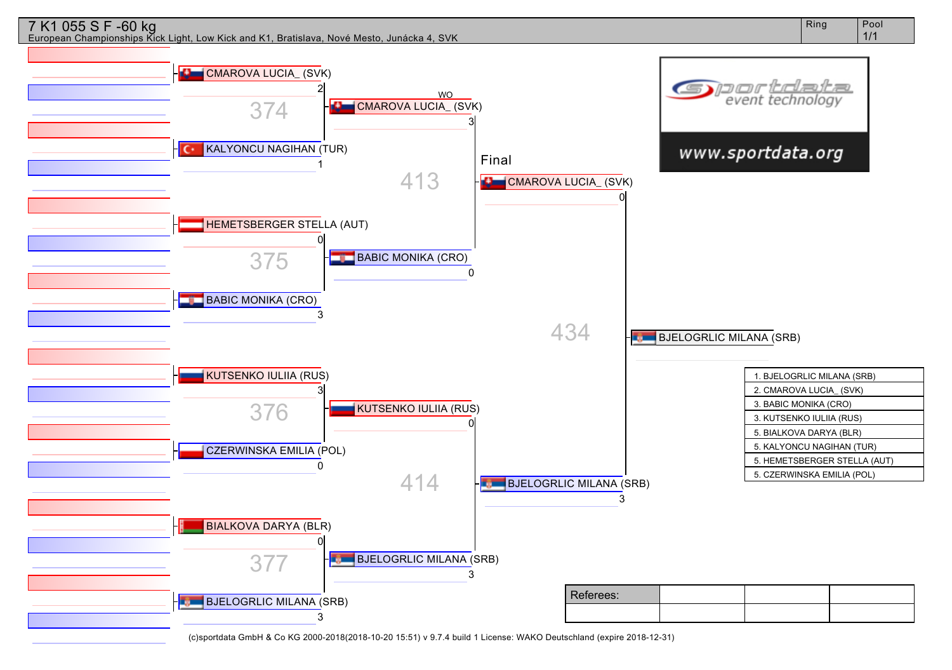

Ring | Pool 1/1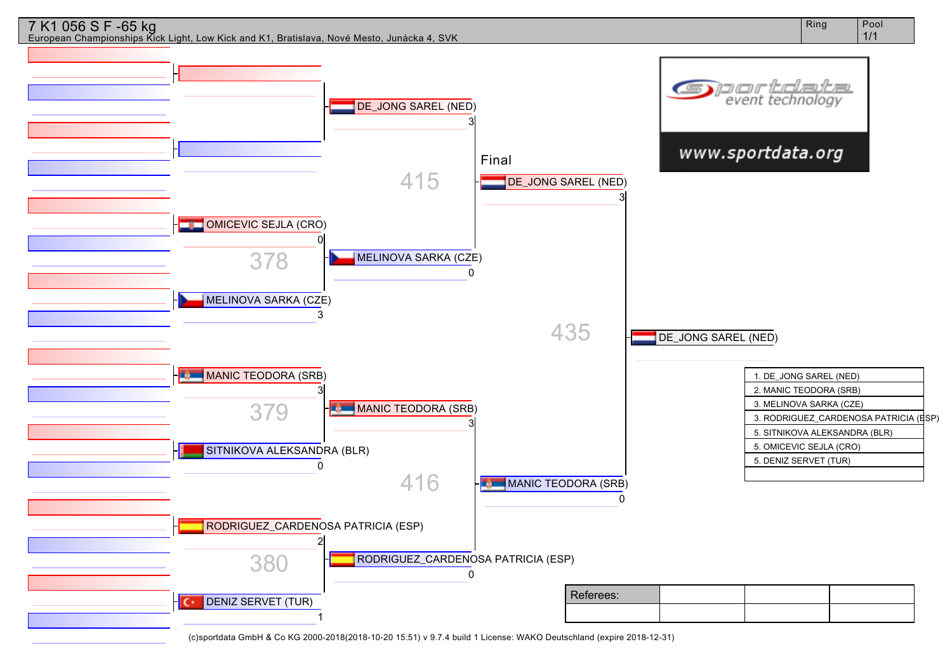

Ring Pool

7 K1 056 S F -65 kg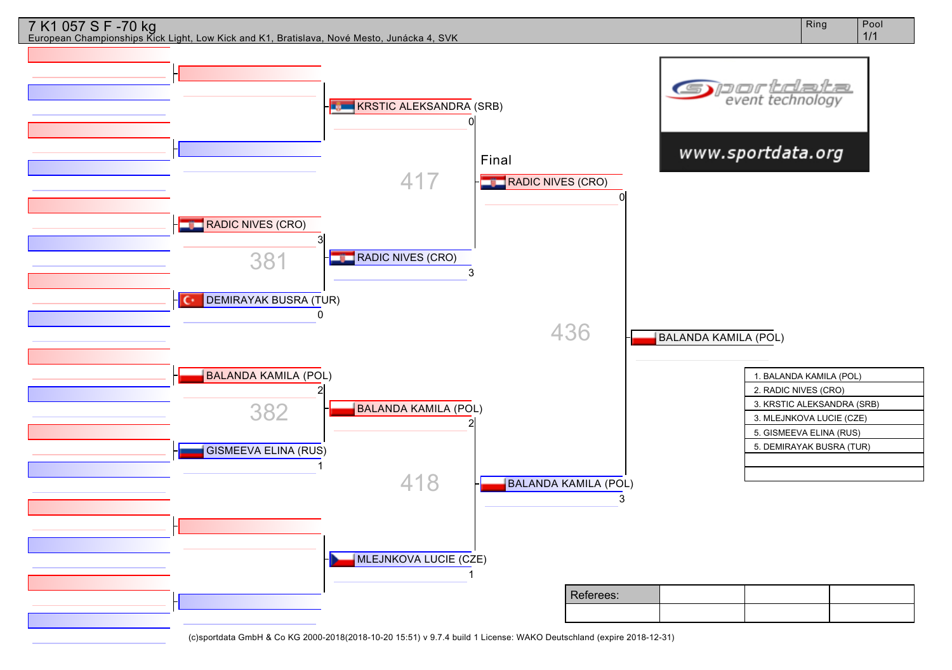